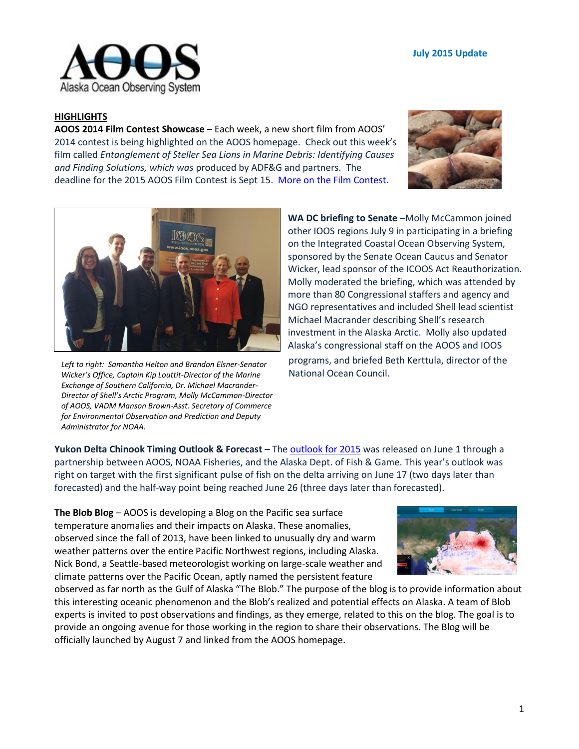

## **HIGHLIGHTS**

**AOOS 2014 Film Contest Showcase** – Each week, a new short film from AOOS' 2014 contest is being highlighted on the AOOS homepage. Check out this week's film called *Entanglement of Steller Sea Lions in Marine Debris: Identifying Causes and Finding Solutions, which was* produced by ADF&G and partners. The deadline for the 2015 AOOS Film Contest is Sept 15. More [on the Film Contest.](http://www.aoos.org/film-contest/)





*Left to right: Samantha Helton and Brandon Elsner-Senator Wicker's Office, Captain Kip Louttit-Director of the Marine Exchange of Southern California, Dr. Michael Macrander-Director of Shell's Arctic Program, Molly McCammon-Director of AOOS, VADM Manson Brown-Asst. Secretary of Commerce for Environmental Observation and Prediction and Deputy Administrator for NOAA.*

**WA DC briefing to Senate –**Molly McCammon joined other IOOS regions July 9 in participating in a briefing on the Integrated Coastal Ocean Observing System, sponsored by the Senate Ocean Caucus and Senator Wicker, lead sponsor of the ICOOS Act Reauthorization. Molly moderated the briefing, which was attended by more than 80 Congressional staffers and agency and NGO representatives and included Shell lead scientist Michael Macrander describing Shell's research investment in the Alaska Arctic. Molly also updated Alaska's congressional staff on the AOOS and IOOS programs, and briefed Beth Kerttula, director of the National Ocean Council.

**Yukon Delta Chinook Timing Outlook & Forecast –** The [outlook for 2015](http://www.aoos.org/yukon-river-chinook-timing-2015/) was released on June 1 through a partnership between AOOS, NOAA Fisheries, and the Alaska Dept. of Fish & Game. This year's outlook was right on target with the first significant pulse of fish on the delta arriving on June 17 (two days later than forecasted) and the half-way point being reached June 26 (three days later than forecasted).

**The Blob Blog** – AOOS is developing a Blog on the Pacific sea surface temperature anomalies and their impacts on Alaska. These anomalies, observed since the fall of 2013, have been linked to unusually dry and warm weather patterns over the entire Pacific Northwest regions, including Alaska. Nick Bond, a Seattle-based meteorologist working on large-scale weather and climate patterns over the Pacific Ocean, aptly named the persistent feature



observed as far north as the Gulf of Alaska "The Blob." The purpose of the blog is to provide information about this interesting oceanic phenomenon and the Blob's realized and potential effects on Alaska. A team of Blob experts is invited to post observations and findings, as they emerge, related to this on the blog. The goal is to provide an ongoing avenue for those working in the region to share their observations. The Blog will be officially launched by August 7 and linked from the AOOS homepage.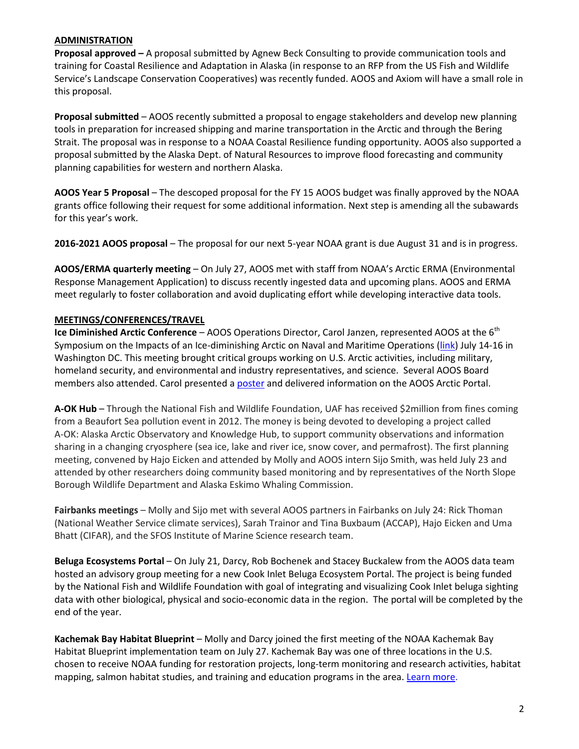#### **ADMINISTRATION**

**Proposal approved –** A proposal submitted by Agnew Beck Consulting to provide communication tools and training for Coastal Resilience and Adaptation in Alaska (in response to an RFP from the US Fish and Wildlife Service's Landscape Conservation Cooperatives) was recently funded. AOOS and Axiom will have a small role in this proposal.

**Proposal submitted** – AOOS recently submitted a proposal to engage stakeholders and develop new planning tools in preparation for increased shipping and marine transportation in the Arctic and through the Bering Strait. The proposal was in response to a NOAA Coastal Resilience funding opportunity. AOOS also supported a proposal submitted by the Alaska Dept. of Natural Resources to improve flood forecasting and community planning capabilities for western and northern Alaska.

**AOOS Year 5 Proposal** – The descoped proposal for the FY 15 AOOS budget was finally approved by the NOAA grants office following their request for some additional information. Next step is amending all the subawards for this year's work.

**2016-2021 AOOS proposal** – The proposal for our next 5-year NOAA grant is due August 31 and is in progress.

**AOOS/ERMA quarterly meeting** – On July 27, AOOS met with staff from NOAA's Arctic ERMA (Environmental Response Management Application) to discuss recently ingested data and upcoming plans. AOOS and ERMA meet regularly to foster collaboration and avoid duplicating effort while developing interactive data tools.

## **MEETINGS/CONFERENCES/TRAVEL**

**Ice Diminished Arctic Conference** – AOOS Operations Director, Carol Janzen, represented AOOS at the 6<sup>th</sup> Symposium on the Impacts of an Ice-diminishing Arctic on Naval and Maritime Operations [\(link\)](http://www.star.nesdis.noaa.gov/star/Ice2015.php) July 14-16 in Washington DC. This meeting brought critical groups working on U.S. Arctic activities, including military, homeland security, and environmental and industry representatives, and science. Several AOOS Board members also attended. Carol presented [a poster](http://tinyurl.com/nm4kv9k) and delivered information on the AOOS Arctic Portal.

**A-OK Hub** – Through the National Fish and Wildlife Foundation, UAF has received \$2million from fines coming from a Beaufort Sea pollution event in 2012. The money is being devoted to developing a project called A-OK: Alaska Arctic Observatory and Knowledge Hub, to support community observations and information sharing in a changing cryosphere (sea ice, lake and river ice, snow cover, and permafrost). The first planning meeting, convened by Hajo Eicken and attended by Molly and AOOS intern Sijo Smith, was held July 23 and attended by other researchers doing community based monitoring and by representatives of the North Slope Borough Wildlife Department and Alaska Eskimo Whaling Commission.

**Fairbanks meetings** – Molly and Sijo met with several AOOS partners in Fairbanks on July 24: Rick Thoman (National Weather Service climate services), Sarah Trainor and Tina Buxbaum (ACCAP), Hajo Eicken and Uma Bhatt (CIFAR), and the SFOS Institute of Marine Science research team.

**Beluga Ecosystems Portal** – On July 21, Darcy, Rob Bochenek and Stacey Buckalew from the AOOS data team hosted an advisory group meeting for a new Cook Inlet Beluga Ecosystem Portal. The project is being funded by the National Fish and Wildlife Foundation with goal of integrating and visualizing Cook Inlet beluga sighting data with other biological, physical and socio-economic data in the region. The portal will be completed by the end of the year.

**Kachemak Bay Habitat Blueprint** – Molly and Darcy joined the first meeting of the NOAA Kachemak Bay Habitat Blueprint implementation team on July 27. Kachemak Bay was one of three locations in the U.S. chosen to receive NOAA funding for restoration projects, long-term monitoring and research activities, habitat mapping, salmon habitat studies, and training and education programs in the area. [Learn more.](http://www.habitat.noaa.gov/habitatblueprint/KachemakBay.html)